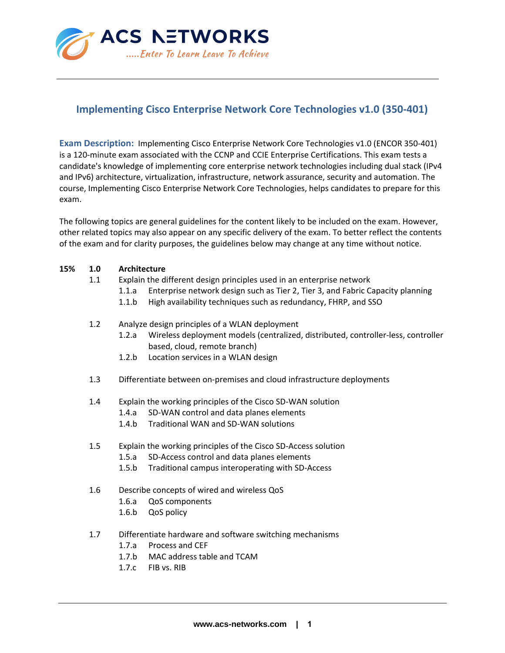

# **Implementing Cisco Enterprise Network Core Technologies v1.0 (350-401)**

**Exam Description:** Implementing Cisco Enterprise Network Core Technologies v1.0 (ENCOR 350-401) is a 120-minute exam associated with the CCNP and CCIE Enterprise Certifications. This exam tests a candidate's knowledge of implementing core enterprise network technologies including dual stack (IPv4 and IPv6) architecture, virtualization, infrastructure, network assurance, security and automation. The course, Implementing Cisco Enterprise Network Core Technologies, helps candidates to prepare for this exam.

The following topics are general guidelines for the content likely to be included on the exam. However, other related topics may also appear on any specific delivery of the exam. To better reflect the contents of the exam and for clarity purposes, the guidelines below may change at any time without notice.

## **15% 1.0 Architecture**

- 1.1 Explain the different design principles used in an enterprise network
	- 1.1.a Enterprise network design such as Tier 2, Tier 3, and Fabric Capacity planning
	- 1.1.b High availability techniques such as redundancy, FHRP, and SSO
- 1.2 Analyze design principles of a WLAN deployment
	- 1.2.a Wireless deployment models (centralized, distributed, controller-less, controller based, cloud, remote branch)
	- 1.2.b Location services in a WLAN design
- 1.3 Differentiate between on-premises and cloud infrastructure deployments
- 1.4 Explain the working principles of the Cisco SD-WAN solution
	- 1.4.a SD-WAN control and data planes elements
	- 1.4.b Traditional WAN and SD-WAN solutions
- 1.5 Explain the working principles of the Cisco SD-Access solution
	- 1.5.a SD-Access control and data planes elements
	- 1.5.b Traditional campus interoperating with SD-Access
- 1.6 Describe concepts of wired and wireless QoS
	- 1.6.a QoS components
	- 1.6.b QoS policy
- 1.7 Differentiate hardware and software switching mechanisms
	- 1.7.a Process and CEF
	- 1.7.b MAC address table and TCAM
	- 1.7.c FIB vs. RIB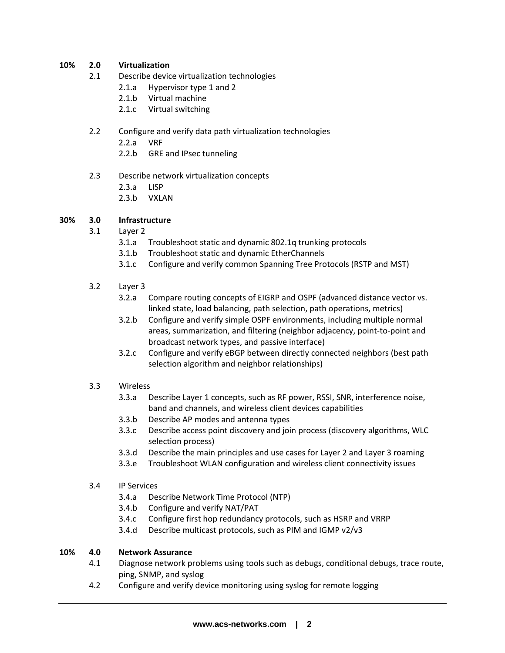## **10% 2.0 Virtualization**

- 2.1 Describe device virtualization technologies
	- 2.1.a Hypervisor type 1 and 2
	- 2.1.b Virtual machine
	- 2.1.c Virtual switching

## 2.2 Configure and verify data path virtualization technologies

- 2.2.a VRF
- 2.2.b GRE and IPsec tunneling

## 2.3 Describe network virtualization concepts

- 2.3.a LISP
- 2.3.b VXLAN

## **30% 3.0 Infrastructure**

- 3.1 Layer 2
	- 3.1.a Troubleshoot static and dynamic 802.1q trunking protocols
	- 3.1.b Troubleshoot static and dynamic EtherChannels
	- 3.1.c Configure and verify common Spanning Tree Protocols (RSTP and MST)

## 3.2 Layer 3

- 3.2.a Compare routing concepts of EIGRP and OSPF (advanced distance vector vs. linked state, load balancing, path selection, path operations, metrics)
- 3.2.b Configure and verify simple OSPF environments, including multiple normal areas, summarization, and filtering (neighbor adjacency, point-to-point and broadcast network types, and passive interface)
- 3.2.c Configure and verify eBGP between directly connected neighbors (best path selection algorithm and neighbor relationships)

## 3.3 Wireless

- 3.3.a Describe Layer 1 concepts, such as RF power, RSSI, SNR, interference noise, band and channels, and wireless client devices capabilities
- 3.3.b Describe AP modes and antenna types
- 3.3.c Describe access point discovery and join process (discovery algorithms, WLC selection process)
- 3.3.d Describe the main principles and use cases for Layer 2 and Layer 3 roaming
- 3.3.e Troubleshoot WLAN configuration and wireless client connectivity issues

## 3.4 IP Services

- 3.4.a Describe Network Time Protocol (NTP)
- 3.4.b Configure and verify NAT/PAT
- 3.4.c Configure first hop redundancy protocols, such as HSRP and VRRP
- 3.4.d Describe multicast protocols, such as PIM and IGMP v2/v3

## **10% 4.0 Network Assurance**

- 4.1 Diagnose network problems using tools such as debugs, conditional debugs, trace route, ping, SNMP, and syslog
- 4.2 Configure and verify device monitoring using syslog for remote logging